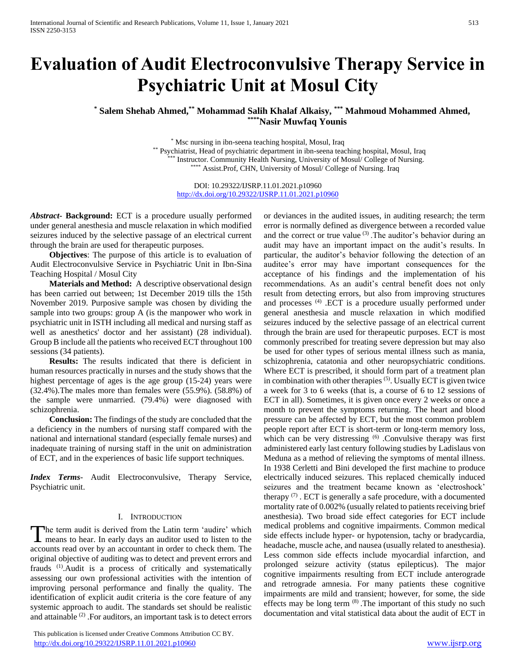# **Evaluation of Audit Electroconvulsive Therapy Service in Psychiatric Unit at Mosul City**

## **\* Salem Shehab Ahmed,\*\* Mohammad Salih Khalaf Alkaisy, \*\*\* Mahmoud Mohammed Ahmed, \*\*\*\*Nasir Muwfaq Younis**

\* Msc nursing in ibn-seena teaching hospital, Mosul, Iraq \*\* Psychiatrist, Head of psychiatric department in ibn-seena teaching hospital, Mosul, Iraq \* Instructor. Community Health Nursing, University of Mosul/ College of Nursing. \*\*\*\* Assist.Prof, CHN, University of Mosul/ College of Nursing. Iraq

DOI: 10.29322/IJSRP.11.01.2021.p10960 <http://dx.doi.org/10.29322/IJSRP.11.01.2021.p10960>

*Abstract***- Background:** ECT is a procedure usually performed under general anesthesia and muscle relaxation in which modified seizures induced by the selective passage of an electrical current through the brain are used for therapeutic purposes.

 **Objectives**: The purpose of this article is to evaluation of Audit Electroconvulsive Service in Psychiatric Unit in Ibn-Sina Teaching Hospital / Mosul City

 **Materials and Method:** A descriptive observational design has been carried out between; 1st December 2019 tills the 15th November 2019. Purposive sample was chosen by dividing the sample into two groups: group A (is the manpower who work in psychiatric unit in ISTH including all medical and nursing staff as well as anesthetics' doctor and her assistant) (28 individual). Group B include all the patients who received ECT throughout 100 sessions (34 patients).

 **Results:** The results indicated that there is deficient in human resources practically in nurses and the study shows that the highest percentage of ages is the age group (15-24) years were (32.4%).The males more than females were (55.9%). (58.8%) of the sample were unmarried. (79.4%) were diagnosed with schizophrenia.

 **Conclusion:** The findings of the study are concluded that the a deficiency in the numbers of nursing staff compared with the national and international standard (especially female nurses) and inadequate training of nursing staff in the unit on administration of ECT, and in the experiences of basic life support techniques.

*Index Terms*- Audit Electroconvulsive, Therapy Service, Psychiatric unit.

## I. INTRODUCTION

he term audit is derived from the Latin term 'audire' which The term audit is derived from the Latin term 'audire' which means to hear. In early days an auditor used to listen to the accounts read over by an accountant in order to check them. The original objective of auditing was to detect and prevent errors and frauds (1).Audit is a process of critically and systematically assessing our own professional activities with the intention of improving personal performance and finally the quality. The identification of explicit audit criteria is the core feature of any systemic approach to audit. The standards set should be realistic and attainable  $(2)$ . For auditors, an important task is to detect errors

 This publication is licensed under Creative Commons Attribution CC BY. <http://dx.doi.org/10.29322/IJSRP.11.01.2021.p10960> [www.ijsrp.org](http://ijsrp.org/)

or deviances in the audited issues, in auditing research; the term error is normally defined as divergence between a recorded value and the correct or true value <sup>(3)</sup>. The auditor's behavior during an audit may have an important impact on the audit's results. In particular, the auditor's behavior following the detection of an auditee's error may have important consequences for the acceptance of his findings and the implementation of his recommendations. As an audit's central benefit does not only result from detecting errors, but also from improving structures and processes <sup>(4)</sup> .ECT is a procedure usually performed under general anesthesia and muscle relaxation in which modified seizures induced by the selective passage of an electrical current through the brain are used for therapeutic purposes. ECT is most commonly prescribed for treating severe depression but may also be used for other types of serious mental illness such as mania, schizophrenia, catatonia and other neuropsychiatric conditions. Where ECT is prescribed, it should form part of a treatment plan in combination with other therapies (5). Usually ECT is given twice a week for 3 to 6 weeks (that is, a course of 6 to 12 sessions of ECT in all). Sometimes, it is given once every 2 weeks or once a month to prevent the symptoms returning. The heart and blood pressure can be affected by ECT, but the most common problem people report after ECT is short-term or long-term memory loss, which can be very distressing <sup>(6)</sup> .Convulsive therapy was first administered early last century following studies by Ladislaus von Meduna as a method of relieving the symptoms of mental illness. In 1938 Cerletti and Bini developed the first machine to produce electrically induced seizures. This replaced chemically induced seizures and the treatment became known as 'electroshock' therapy  $(7)$ . ECT is generally a safe procedure, with a documented mortality rate of 0.002% (usually related to patients receiving brief anesthesia). Two broad side effect categories for ECT include medical problems and cognitive impairments. Common medical side effects include hyper- or hypotension, tachy or bradycardia, headache, muscle ache, and nausea (usually related to anesthesia). Less common side effects include myocardial infarction, and prolonged seizure activity (status epilepticus). The major cognitive impairments resulting from ECT include anterograde and retrograde amnesia. For many patients these cognitive impairments are mild and transient; however, for some, the side effects may be long term (8) .The important of this study no such documentation and vital statistical data about the audit of ECT in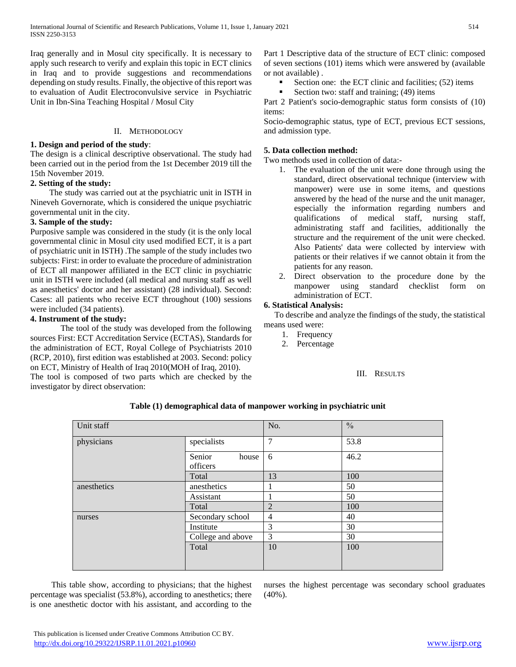Iraq generally and in Mosul city specifically. It is necessary to apply such research to verify and explain this topic in ECT clinics in Iraq and to provide suggestions and recommendations depending on study results. Finally, the objective of this report was to evaluation of Audit Electroconvulsive service in Psychiatric Unit in Ibn-Sina Teaching Hospital / Mosul City

## II. METHODOLOGY

## **1. Design and period of the study**:

The design is a clinical descriptive observational. The study had been carried out in the period from the 1st December 2019 till the 15th November 2019.

## **2. Setting of the study:**

 The study was carried out at the psychiatric unit in ISTH in Nineveh Governorate, which is considered the unique psychiatric governmental unit in the city.

## **3. Sample of the study:**

Purposive sample was considered in the study (it is the only local governmental clinic in Mosul city used modified ECT, it is a part of psychiatric unit in ISTH) .The sample of the study includes two subjects: First: in order to evaluate the procedure of administration of ECT all manpower affiliated in the ECT clinic in psychiatric unit in ISTH were included (all medical and nursing staff as well as anesthetics' doctor and her assistant) (28 individual). Second: Cases: all patients who receive ECT throughout (100) sessions were included (34 patients).

## **4. Instrument of the study:**

The tool of the study was developed from the following sources First: ECT Accreditation Service (ECTAS), Standards for the administration of ECT, Royal College of Psychiatrists 2010 (RCP, 2010), first edition was established at 2003. Second: policy on ECT, Ministry of Health of Iraq 2010(MOH of Iraq, 2010).

The tool is composed of two parts which are checked by the investigator by direct observation:

Part 1 Descriptive data of the structure of ECT clinic: composed of seven sections (101) items which were answered by (available or not available) .

- Section one: the ECT clinic and facilities; (52) items
- Section two: staff and training; (49) items

Part 2 Patient's socio-demographic status form consists of (10) items:

Socio-demographic status, type of ECT, previous ECT sessions, and admission type.

## **5. Data collection method:**

Two methods used in collection of data:-

- 1. The evaluation of the unit were done through using the standard, direct observational technique (interview with manpower) were use in some items, and questions answered by the head of the nurse and the unit manager, especially the information regarding numbers and qualifications of medical staff, nursing staff, administrating staff and facilities, additionally the structure and the requirement of the unit were checked. Also Patients' data were collected by interview with patients or their relatives if we cannot obtain it from the patients for any reason.
- 2. Direct observation to the procedure done by the manpower using standard checklist form on administration of ECT.

## **6. Statistical Analysis:**

 To describe and analyze the findings of the study, the statistical means used were:

- 1. Frequency
- 2. Percentage

III. RESULTS

| Unit staff  |                             | No.            | $\frac{0}{0}$ |
|-------------|-----------------------------|----------------|---------------|
| physicians  | specialists                 | $\overline{7}$ | 53.8          |
|             | Senior<br>house<br>officers | 6              | 46.2          |
|             | Total                       | 13             | 100           |
| anesthetics | anesthetics                 |                | 50            |
|             | Assistant                   |                | 50            |
|             | Total                       | $\overline{2}$ | 100           |
| nurses      | Secondary school            | $\overline{4}$ | 40            |
|             | Institute                   | 3              | 30            |
|             | College and above           | 3              | 30            |
|             | Total                       | 10             | 100           |
|             |                             |                |               |

**Table (1) demographical data of manpower working in psychiatric unit**

 This table show, according to physicians; that the highest percentage was specialist (53.8%), according to anesthetics; there is one anesthetic doctor with his assistant, and according to the

nurses the highest percentage was secondary school graduates  $(40\%)$ .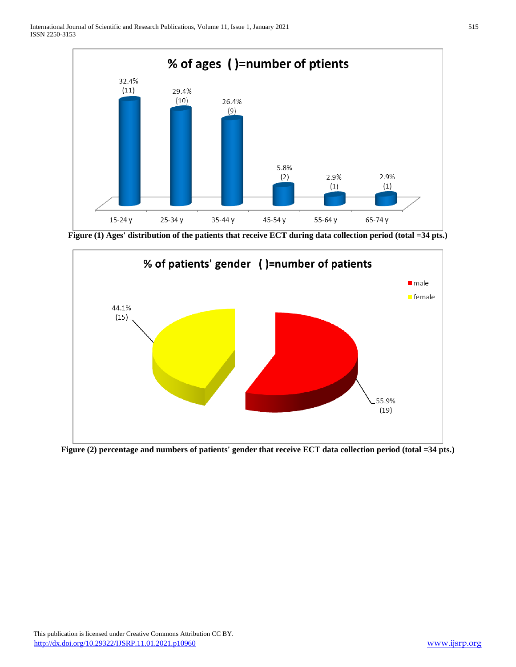

**Figure (1) Ages' distribution of the patients that receive ECT during data collection period (total =34 pts.)**



**Figure (2) percentage and numbers of patients' gender that receive ECT data collection period (total =34 pts.)**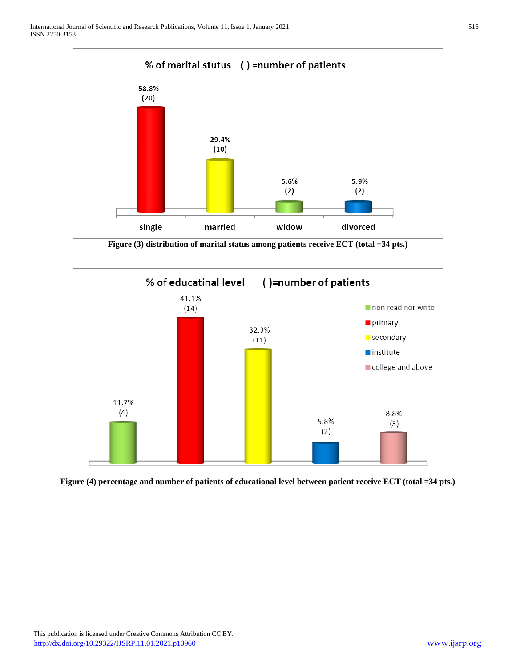

**Figure (3) distribution of marital status among patients receive ECT (total =34 pts.)**



**Figure (4) percentage and number of patients of educational level between patient receive ECT (total =34 pts.)**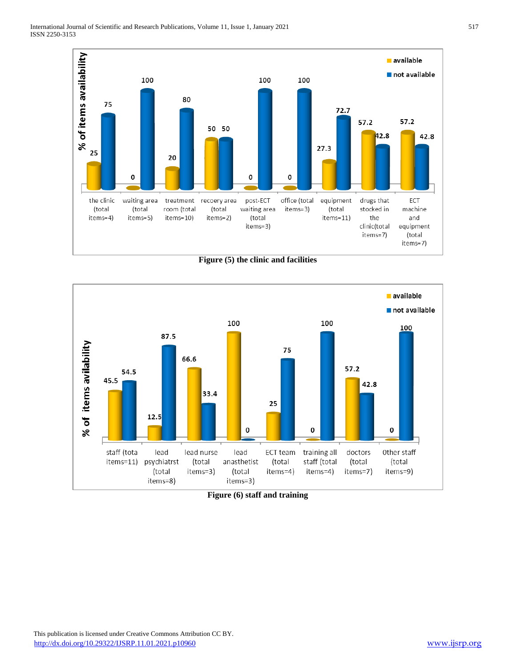

**Figure (5) the clinic and facilities**



**Figure (6) staff and training**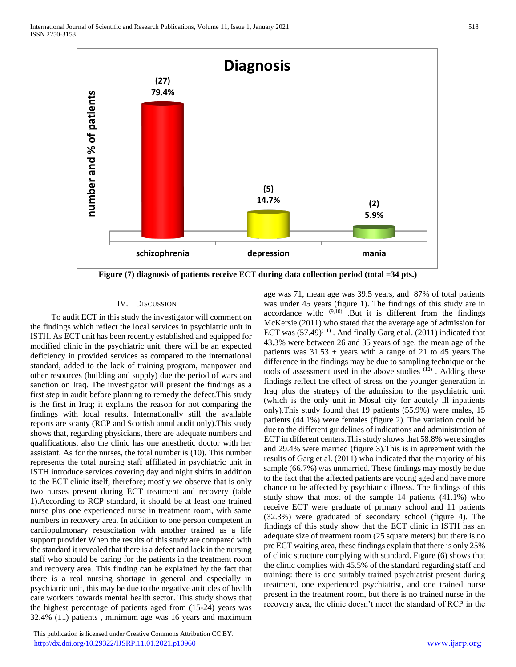

IV. DISCUSSION

 To audit ECT in this study the investigator will comment on the findings which reflect the local services in psychiatric unit in ISTH. As ECT unit has been recently established and equipped for modified clinic in the psychiatric unit, there will be an expected deficiency in provided services as compared to the international standard, added to the lack of training program, manpower and other resources (building and supply) due the period of wars and sanction on Iraq. The investigator will present the findings as a first step in audit before planning to remedy the defect.This study is the first in Iraq; it explains the reason for not comparing the findings with local results. Internationally still the available reports are scanty (RCP and Scottish annul audit only).This study shows that, regarding physicians, there are adequate numbers and qualifications, also the clinic has one anesthetic doctor with her assistant. As for the nurses, the total number is (10). This number represents the total nursing staff affiliated in psychiatric unit in ISTH introduce services covering day and night shifts in addition to the ECT clinic itself, therefore; mostly we observe that is only two nurses present during ECT treatment and recovery (table 1).According to RCP standard, it should be at least one trained nurse plus one experienced nurse in treatment room, with same numbers in recovery area. In addition to one person competent in cardiopulmonary resuscitation with another trained as a life support provider.When the results of this study are compared with the standard it revealed that there is a defect and lack in the nursing staff who should be caring for the patients in the treatment room and recovery area. This finding can be explained by the fact that there is a real nursing shortage in general and especially in psychiatric unit, this may be due to the negative attitudes of health care workers towards mental health sector. This study shows that the highest percentage of patients aged from (15-24) years was 32.4% (11) patients , minimum age was 16 years and maximum

 This publication is licensed under Creative Commons Attribution CC BY. <http://dx.doi.org/10.29322/IJSRP.11.01.2021.p10960> [www.ijsrp.org](http://ijsrp.org/)

age was 71, mean age was 39.5 years, and 87% of total patients was under 45 years (figure 1). The findings of this study are in accordance with:  $(9,10)$  .But it is different from the findings McKersie (2011) who stated that the average age of admission for ECT was  $(57.49)^{(11)}$ . And finally Garg et al.  $(2011)$  indicated that 43.3% were between 26 and 35 years of age, the mean age of the patients was  $31.53 \pm$  years with a range of 21 to 45 years. The difference in the findings may be due to sampling technique or the tools of assessment used in the above studies (12) . Adding these findings reflect the effect of stress on the younger generation in Iraq plus the strategy of the admission to the psychiatric unit (which is the only unit in Mosul city for acutely ill inpatients only).This study found that 19 patients (55.9%) were males, 15 patients (44.1%) were females (figure 2). The variation could be due to the different guidelines of indications and administration of ECT in different centers.This study shows that 58.8% were singles and 29.4% were married (figure 3).This is in agreement with the results of Garg et al. (2011) who indicated that the majority of his sample (66.7%) was unmarried. These findings may mostly be due to the fact that the affected patients are young aged and have more chance to be affected by psychiatric illness. The findings of this study show that most of the sample 14 patients (41.1%) who receive ECT were graduate of primary school and 11 patients (32.3%) were graduated of secondary school (figure 4). The findings of this study show that the ECT clinic in ISTH has an adequate size of treatment room (25 square meters) but there is no pre ECT waiting area, these findings explain that there is only 25% of clinic structure complying with standard. Figure (6) shows that the clinic complies with 45.5% of the standard regarding staff and training: there is one suitably trained psychiatrist present during treatment, one experienced psychiatrist, and one trained nurse present in the treatment room, but there is no trained nurse in the recovery area, the clinic doesn't meet the standard of RCP in the